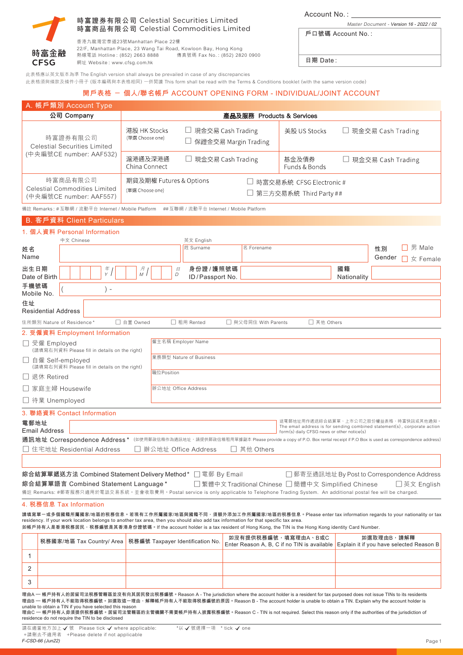

## **時富商品有限公司** Celestial Commodities Limited **時富證券有限公司** Celestial Securities Limited

香港九龍灣宏泰道23號Manhattan Place 22樓

22/F, Manhattan Place, 23 Wang Tai Road, Kowloon Bay, Hong Kong 熱線電話 Hotline : (852) 2663 8888 網址 Website : www.cfsg.com.hk 傳真號碼 Fax No. : (852) 2820 0900 **Account No. :**

Master Document - **Version 16 - 2022 / 02**

| 戶口號碼 Account No.: |  |  |  |
|-------------------|--|--|--|
|-------------------|--|--|--|

**日期 Date :**

|                                                                            | 此表格應以英文版本為準 The English version shall always be prevailed in case of any discrepancies<br>此表格須與條款及條件小冊子 (版本編碼與本表格相同) 一併閲讀 This form shall be read with the Terms & Conditions booklet (with the same version code)                                                                                                                                                                                                                                                                                                                                                          |                                 |                                                                |                                           |                      |                                                                                                                                                                |                     |            |                           |
|----------------------------------------------------------------------------|-----------------------------------------------------------------------------------------------------------------------------------------------------------------------------------------------------------------------------------------------------------------------------------------------------------------------------------------------------------------------------------------------------------------------------------------------------------------------------------------------------------------------------------------------------------------------------|---------------------------------|----------------------------------------------------------------|-------------------------------------------|----------------------|----------------------------------------------------------------------------------------------------------------------------------------------------------------|---------------------|------------|---------------------------|
|                                                                            |                                                                                                                                                                                                                                                                                                                                                                                                                                                                                                                                                                             |                                 | 開戶表格 - 個人/聯名帳戶 ACCOUNT OPENING FORM - INDIVIDUAL/JOINT ACCOUNT |                                           |                      |                                                                                                                                                                |                     |            |                           |
|                                                                            | A. 帳戶類別 Account Type                                                                                                                                                                                                                                                                                                                                                                                                                                                                                                                                                        |                                 |                                                                |                                           |                      |                                                                                                                                                                |                     |            |                           |
|                                                                            | 公司 Company                                                                                                                                                                                                                                                                                                                                                                                                                                                                                                                                                                  |                                 |                                                                |                                           |                      | 產品及服務 Products & Services                                                                                                                                      |                     |            |                           |
| 時富證券有限公司<br><b>Celestial Securities Limited</b><br>(中央編號CE number: AAF532) |                                                                                                                                                                                                                                                                                                                                                                                                                                                                                                                                                                             | 港股 HK Stocks<br>(單選 Choose one) |                                                                | 現金交易 Cash Trading<br>保證金交易 Margin Trading |                      | 美股 US Stocks                                                                                                                                                   | □ 現金交易 Cash Trading |            |                           |
|                                                                            |                                                                                                                                                                                                                                                                                                                                                                                                                                                                                                                                                                             | 滬港通及深港通<br>China Connect        | □ 現金交易 Cash Trading<br>基金及債券<br>Funds & Bonds                  |                                           | □ 現金交易 Cash Trading  |                                                                                                                                                                |                     |            |                           |
|                                                                            | 時富商品有限公司<br><b>Celestial Commodities Limited</b><br>(中央編號CE number: AAF557)                                                                                                                                                                                                                                                                                                                                                                                                                                                                                                 | (單選 Choose one)                 | 期貨及期權 Futures & Options                                        |                                           |                      | □ 時富交易系統 CFSG Electronic #<br>□ 第三方交易系統 Third Party ##                                                                                                         |                     |            |                           |
|                                                                            | 備註 Remarks: #互聯網 / 流動平台 Internet / Mobile Platform ## 互聯網 / 流動平台 Internet / Mobile Platform                                                                                                                                                                                                                                                                                                                                                                                                                                                                                 |                                 |                                                                |                                           |                      |                                                                                                                                                                |                     |            |                           |
|                                                                            | B. 客戶資料 Client Particulars                                                                                                                                                                                                                                                                                                                                                                                                                                                                                                                                                  |                                 |                                                                |                                           |                      |                                                                                                                                                                |                     |            |                           |
|                                                                            | 1. 個人資料 Personal Information<br>中文 Chinese                                                                                                                                                                                                                                                                                                                                                                                                                                                                                                                                  |                                 |                                                                |                                           |                      |                                                                                                                                                                |                     |            |                           |
| 姓名                                                                         |                                                                                                                                                                                                                                                                                                                                                                                                                                                                                                                                                                             |                                 | 英文 English<br>姓 Surname                                        |                                           | 名 Forename           |                                                                                                                                                                |                     | 性別         | □ 男 Male                  |
| Name<br>出生日期                                                               | $\frac{\pi}{Y}$                                                                                                                                                                                                                                                                                                                                                                                                                                                                                                                                                             |                                 | 身份證/護照號碼<br>$\mathbf{H}%$                                      |                                           |                      |                                                                                                                                                                | 國籍                  | Gender     | $\Box \not\subset$ Female |
| Date of Birth                                                              |                                                                                                                                                                                                                                                                                                                                                                                                                                                                                                                                                                             | 月<br>M                          | D<br>ID/Passport No.                                           |                                           |                      |                                                                                                                                                                | Nationality         |            |                           |
| 手機號碼<br>Mobile No.                                                         | $) -$                                                                                                                                                                                                                                                                                                                                                                                                                                                                                                                                                                       |                                 |                                                                |                                           |                      |                                                                                                                                                                |                     |            |                           |
| 住址<br><b>Residential Address</b>                                           |                                                                                                                                                                                                                                                                                                                                                                                                                                                                                                                                                                             |                                 |                                                                |                                           |                      |                                                                                                                                                                |                     |            |                           |
|                                                                            | 住所類別 Nature of Residence*                                                                                                                                                                                                                                                                                                                                                                                                                                                                                                                                                   | □ 自置 Owned                      | □ 租用 Rented                                                    |                                           | □ 與父母同住 With Parents | □ 其他 Others                                                                                                                                                    |                     |            |                           |
|                                                                            | 2. 受僱資料 Employment Information                                                                                                                                                                                                                                                                                                                                                                                                                                                                                                                                              |                                 |                                                                |                                           |                      |                                                                                                                                                                |                     |            |                           |
| □ 受僱 Employed                                                              | (請填寫右列資料 Please fill in details on the right)                                                                                                                                                                                                                                                                                                                                                                                                                                                                                                                               |                                 | 僱主名稱 Employer Name                                             |                                           |                      |                                                                                                                                                                |                     |            |                           |
| □ 自僱 Self-employed                                                         | (請填寫右列資料 Please fill in details on the right)                                                                                                                                                                                                                                                                                                                                                                                                                                                                                                                               |                                 | 業務類型 Nature of Business                                        |                                           |                      |                                                                                                                                                                |                     |            |                           |
| □ 退休 Retired                                                               |                                                                                                                                                                                                                                                                                                                                                                                                                                                                                                                                                                             | 職位Position                      |                                                                |                                           |                      |                                                                                                                                                                |                     |            |                           |
| □ 家庭主婦 Housewife                                                           |                                                                                                                                                                                                                                                                                                                                                                                                                                                                                                                                                                             |                                 | 辦公地址 Office Address                                            |                                           |                      |                                                                                                                                                                |                     |            |                           |
| □ 待業 Unemployed                                                            |                                                                                                                                                                                                                                                                                                                                                                                                                                                                                                                                                                             |                                 |                                                                |                                           |                      |                                                                                                                                                                |                     |            |                           |
| 電郵地址<br><b>Email Address</b>                                               | 3. 聯絡資料 Contact Information                                                                                                                                                                                                                                                                                                                                                                                                                                                                                                                                                 |                                 |                                                                |                                           |                      | 這電郵地址用作遞送綜合結算單、上市公司之股份權益表格、時富快訊或其他通知<br>The email address is for sending combined statement(s), corporate action<br>form(s) daily CFSG news or other notice(s) |                     |            |                           |
|                                                                            | 通訊地址 Correspondence Address * (如使用郵政信箱作為通訊地址,請提供郵政信箱租用單據副本 Please provide a copy of P.O. Box rental receipt if P.O Box is used as correspondence address)<br>□ 住宅地址 Residential Address                                                                                                                                                                                                                                                                                                                                                                                     |                                 | □ 辦公地址 Office Address                                          | □ 其他 Others                               |                      |                                                                                                                                                                |                     |            |                           |
|                                                                            |                                                                                                                                                                                                                                                                                                                                                                                                                                                                                                                                                                             |                                 |                                                                |                                           |                      |                                                                                                                                                                |                     |            |                           |
|                                                                            | 綜合結算單遞送方法 Combined Statement Delivery Method* □ 電郵 By Email                                                                                                                                                                                                                                                                                                                                                                                                                                                                                                                 |                                 |                                                                |                                           |                      | □ 郵寄至通訊地址 By Post to Correspondence Address                                                                                                                    |                     |            |                           |
|                                                                            | 綜合結算單語言 Combined Statement Language *                                                                                                                                                                                                                                                                                                                                                                                                                                                                                                                                       |                                 |                                                                |                                           |                      | □繁體中文 Traditional Chinese □簡體中文 Simplified Chinese                                                                                                             |                     |            | □ 英文 English              |
|                                                                            | 備註 Remarks: #郵寄服務只適用於電話交易系統。並會收取費用。Postal service is only applicable to Telephone Trading System. An additional postal fee will be charged.                                                                                                                                                                                                                                                                                                                                                                                                                                 |                                 |                                                                |                                           |                      |                                                                                                                                                                |                     |            |                           |
|                                                                            | 4. 税務信息 Tax Information                                                                                                                                                                                                                                                                                                                                                                                                                                                                                                                                                     |                                 |                                                                |                                           |                      |                                                                                                                                                                |                     |            |                           |
|                                                                            | 請填寫單一或多個國籍所屬國家/地區的税務信息。若現有工作所屬國家/地區與國籍不同,須額外添加工作所屬國家/地區的税務信息。Please enter tax information regards to your nationality or tax<br>residency. If your work location belongs to another tax area, then you should also add tax information for that specific tax area.<br>如帳戶持有人是香港税務居民,税務編號是其香港身份證號碼。If the account holder is a tax resident of Hong Kong, the TIN is the Hong Kong identity Card Number.                                                                                                                                                                      |                                 |                                                                |                                           |                      |                                                                                                                                                                |                     |            |                           |
|                                                                            | 税務國家/地區 Tax Country/ Area                                                                                                                                                                                                                                                                                                                                                                                                                                                                                                                                                   |                                 | 税務編號 Taxpayer Identification No.                               |                                           |                      | 如沒有提供税務編號,填寫理由A、B或C                                                                                                                                            |                     | 如選取理由B,請解釋 |                           |
| $\mathbf{1}$                                                               |                                                                                                                                                                                                                                                                                                                                                                                                                                                                                                                                                                             |                                 |                                                                |                                           |                      | Enter Reason A, B, C if no TIN is available Explain it if you have selected Reason B                                                                           |                     |            |                           |
| 2                                                                          |                                                                                                                                                                                                                                                                                                                                                                                                                                                                                                                                                                             |                                 |                                                                |                                           |                      |                                                                                                                                                                |                     |            |                           |
| 3                                                                          |                                                                                                                                                                                                                                                                                                                                                                                                                                                                                                                                                                             |                                 |                                                                |                                           |                      |                                                                                                                                                                |                     |            |                           |
|                                                                            | 理由A — 帳戶持有人的居留司法税務管轄區並沒有向其居民發出税務編號。Reason A - The jurisdiction where the account holder is a resident for tax purposed does not issue TINs to its residents<br>理由B — 帳戶持有人不能取得税務編號。如選取這一理由,解釋帳戶持有人不能取得税務編號的原因。Reason B - The account holder is unable to obtain a TIN. Explain why the account holder is<br>unable to obtain a TIN if you have selected this reason<br>理由C — 帳戶持有人毋須提供税務編號。居留司法管轄區的主管機關不需要帳戶持有人披露税務編號。Reason C - TIN is not required. Select this reason only if the authorities of the jurisdiction of<br>residence do not require the TIN to be disclosed |                                 |                                                                |                                           |                      |                                                                                                                                                                |                     |            |                           |
| F-CSD-66 (Jun22)                                                           | 請在適當地方加上√號 Please tick √ where applicable:<br>+請刪去不適用者 +Please delete if not applicable                                                                                                                                                                                                                                                                                                                                                                                                                                                                                     |                                 | *以√號選擇一項 * tick √ one                                          |                                           |                      |                                                                                                                                                                |                     |            | Page 1                    |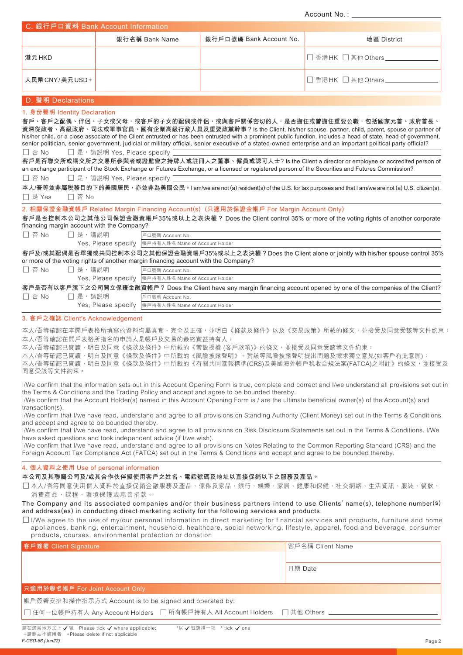**Account No. :**

| C. 銀行戶口資料 Bank Account Information |                |                         |                         |  |  |  |  |
|------------------------------------|----------------|-------------------------|-------------------------|--|--|--|--|
|                                    | 銀行名稱 Bank Name | 銀行戶口號碼 Bank Account No. | 地區 District             |  |  |  |  |
| 港元 HKD                             |                |                         | □ 香港HK □ 其他Others_      |  |  |  |  |
| 人民幣CNY/美元USD+                      |                |                         | │□ 香港 HK □ 其他 Others __ |  |  |  |  |

### **D. 聲明 Declarations**

### **1. 身份聲明 Identity Declaration**

□ 否 No □ 是, 請説明 Yes, Please specify 客戶、客戶之配偶、伴侶、子女或父母,或客戶的子女的配偶或伴侶,或與客戶關係密切的人,是否擔任或曾擔任重要公職,包括國家元首、政府首長 **資深從政者、高級政府、司法或軍事官員、國有企業高級行政人員及重要政黨幹事?Is the Client, his/her spouse, partner, child, parent, spouse or partner of** his/her child, or a close associate of the Client entrusted or has been entrusted with a prominent public function, includes a head of state, head of government, senior politician, senior government, judicial or military official, senior executive of a stated-owned enterprise and an important political party official? **客戶是否聯交所或期交所之交易所參與者或證監會之持牌人或註冊人之董事、僱員或認可人士? Is the Client a director or employee or accredited person of** an exchange participant of the Stock Exchange or Futures Exchange or a licensed or registered person of the Securities and Futures Commission?

□ 否 No □ 是, 請説明 Yes, Please specify

□ 是 Yes □ 否 No 本人/吾等並非屬税務目的下的美國居民,亦並非為美國公民。I am/we are not (a) resident(s) of the U.S. for tax purposes and that I am/we are not (a) U.S. citizen(s).

**2. 相關保證金融資帳戶 Related Margin Financing Account(s) (只適用於保證金帳戶 For Margin Account Only)**

**客戶是否控制本公司之其他公司保證金融資帳戶35%或以上之表決權? Does the Client control 35% or more of the voting rights of another corporate financing margin account with the Company?**

| 门 否 No | □ 是,請説明 | ┃戶口號碼 Account No.                                                                                         |
|--------|---------|-----------------------------------------------------------------------------------------------------------|
|        |         | Yes, Please specify  帳戶持有人姓名 Name of Account Holder                                                       |
|        |         | 客戶及/或其配偶是否單獨或共同控制本公司之其他保證金融資帳戶35%或以上之表決權?Does the Client alone or jointly with his/her spouse control 35% |
|        |         | or more of the voting rights of another margin financing account with the Company?                        |

| □ 否 No | □ 是,請説明     | 戶口號碼 Account No.                                                                                                        |
|--------|-------------|-------------------------------------------------------------------------------------------------------------------------|
|        |             | Yes, Please specify  帳戶持有人姓名 Name of Account Holder                                                                     |
|        |             | 客戶是否有以客戶旗下之公司開立保證金融資帳戶? Does the Client have any margin financing account opened by one of the companies of the Client? |
| □否No   | ┌ヿ 是, 請説明 . | 戶口號碼 Account No.                                                                                                        |

Yes, Please specify |帳戶持有人姓名 Name of Account Holder

### **3. 客戶之確認 Client's Acknowledgement**

本人/吾等確認在本開戶表格所填寫的資料均屬真實、完全及正確,並明白《條款及條件》以及《交易政策》所載的條文,並接受及同意受該等文件約束; 本人/吾等確認在開戶表格所指名的申請人是帳戶及交易的最終實益持有人;

本人/吾等確認已閲讀、明白及同意《條款及條件》中所載的《常設授權 (客戶款項)》的條文,並接受及同意受該等文件約束;

本人/吾等確認已閲讀、明白及同意《條款及條件》中所載的《風險披露聲明》。對該等風險披露聲明提出問題及徵求獨立意見(如客戶有此意願);

本人/吾等確認已閲讀、明白及同意《條款及條件》中所載的《有關共同滙報標準(CRS)及美國海外帳戶税收合規法案(FATCA)之附註》的條文,並接受及 同意受該等文件約束。

I/We confirm that the information sets out in this Account Opening Form is true, complete and correct and I/we understand all provisions set out in the Terms & Conditions and the Trading Policy and accept and agree to be bounded thereby.

I/We confirm that the Account Holder(s) named in this Account Opening Form is / are the ultimate beneficial owner(s) of the Account(s) and transaction(s).

I/We confirm that I/we have read, understand and agree to all provisions on Standing Authority (Client Money) set out in the Terms & Conditions and accept and agree to be bounded thereby.

I/We confirm that I/we have read, understand and agree to all provisions on Risk Disclosure Statements set out in the Terms & Conditions. I/We have asked questions and took independent advice (if I/we wish).

I/We confirm that I/we have read, understand and agree to all provisions on Notes Relating to the Common Reporting Standard (CRS) and the Foreign Account Tax Compliance Act (FATCA) set out in the Terms & Conditions and accept and agree to be bounded thereby.

### **4. 個人資料之使用 Use of personal information**

### **本公司及其聯屬公司及/或其合作伙伴擬使用客戶之姓名、電話號碼及地址以直接促銷以下之服務及產品。**

□本人/吾等同意使用個人資料於直接促銷金融服務及產品、傢俬及家品、銀行、娛樂、家居、健康和保健、社交網絡、生活資訊、服裝、餐飲、 消費產品、課程、環境保護或慈善捐款。

The Company and its associated companies and/or their business partners intend to use Clients' name(s), telephone number(s) **and address(es) in conducting direct marketing activity for the following services and products.**

□I/We agree to the use of my/our personal information in direct marketing for financial services and products, furniture and home appliances, banking, entertainment, household, healthcare, social networking, lifestyle, apparel, food and beverage, consumer products, courses, environmental protection or donation

| 客戶簽署 Client Signature                                          | 客戶名稱 Client Name |  |
|----------------------------------------------------------------|------------------|--|
|                                                                |                  |  |
|                                                                | 日期 Date          |  |
|                                                                |                  |  |
| 只適用於聯名帳戶 For Joint Account Only                                |                  |  |
| 帳戶簽署安排和操作指示方式 Account is to be signed and operated by:         |                  |  |
| ┃□ 任何一位帳戶持有人 Any Account Holders □ 所有帳戶持有人 All Account Holders | □ 其他 Others      |  |